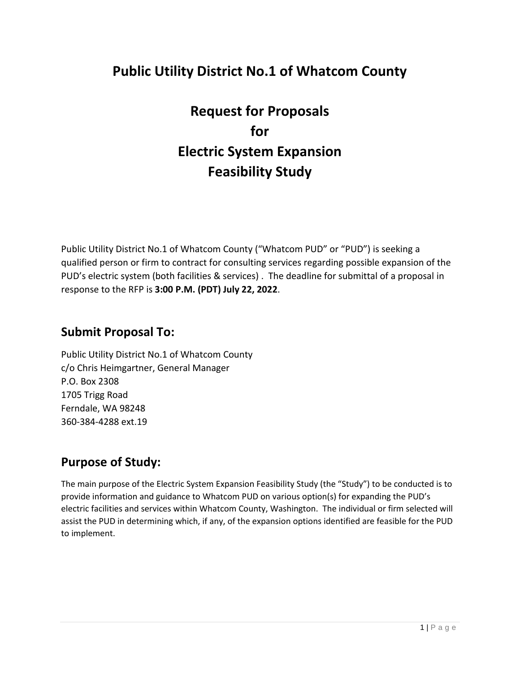# **Public Utility District No.1 of Whatcom County**

**Request for Proposals for Electric System Expansion Feasibility Study**

Public Utility District No.1 of Whatcom County ("Whatcom PUD" or "PUD") is seeking a qualified person or firm to contract for consulting services regarding possible expansion of the PUD's electric system (both facilities & services) . The deadline for submittal of a proposal in response to the RFP is **3:00 P.M. (PDT) July 22, 2022**.

### **Submit Proposal To:**

Public Utility District No.1 of Whatcom County c/o Chris Heimgartner, General Manager P.O. Box 2308 1705 Trigg Road Ferndale, WA 98248 360-384-4288 ext.19

## **Purpose of Study:**

The main purpose of the Electric System Expansion Feasibility Study (the "Study") to be conducted is to provide information and guidance to Whatcom PUD on various option(s) for expanding the PUD's electric facilities and services within Whatcom County, Washington. The individual or firm selected will assist the PUD in determining which, if any, of the expansion options identified are feasible for the PUD to implement.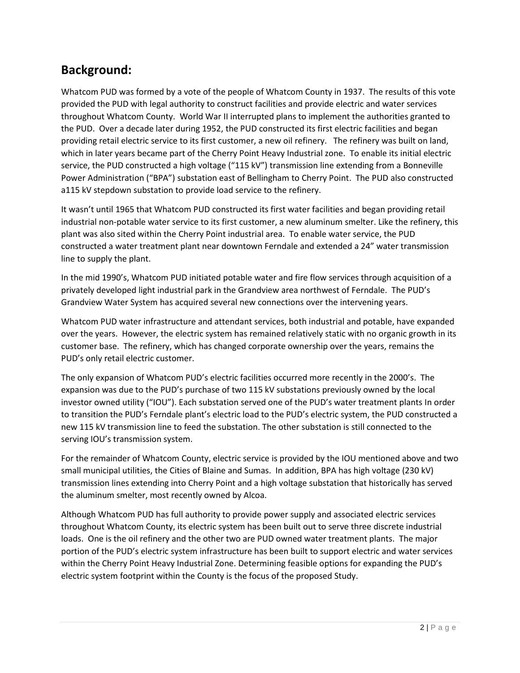## **Background:**

Whatcom PUD was formed by a vote of the people of Whatcom County in 1937. The results of this vote provided the PUD with legal authority to construct facilities and provide electric and water services throughout Whatcom County. World War II interrupted plans to implement the authorities granted to the PUD. Over a decade later during 1952, the PUD constructed its first electric facilities and began providing retail electric service to its first customer, a new oil refinery. The refinery was built on land, which in later years became part of the Cherry Point Heavy Industrial zone. To enable its initial electric service, the PUD constructed a high voltage ("115 kV") transmission line extending from a Bonneville Power Administration ("BPA") substation east of Bellingham to Cherry Point. The PUD also constructed a115 kV stepdown substation to provide load service to the refinery.

It wasn't until 1965 that Whatcom PUD constructed its first water facilities and began providing retail industrial non-potable water service to its first customer, a new aluminum smelter. Like the refinery, this plant was also sited within the Cherry Point industrial area. To enable water service, the PUD constructed a water treatment plant near downtown Ferndale and extended a 24" water transmission line to supply the plant.

In the mid 1990's, Whatcom PUD initiated potable water and fire flow services through acquisition of a privately developed light industrial park in the Grandview area northwest of Ferndale. The PUD's Grandview Water System has acquired several new connections over the intervening years.

Whatcom PUD water infrastructure and attendant services, both industrial and potable, have expanded over the years. However, the electric system has remained relatively static with no organic growth in its customer base. The refinery, which has changed corporate ownership over the years, remains the PUD's only retail electric customer.

The only expansion of Whatcom PUD's electric facilities occurred more recently in the 2000's. The expansion was due to the PUD's purchase of two 115 kV substations previously owned by the local investor owned utility ("IOU"). Each substation served one of the PUD's water treatment plants In order to transition the PUD's Ferndale plant's electric load to the PUD's electric system, the PUD constructed a new 115 kV transmission line to feed the substation. The other substation is still connected to the serving IOU's transmission system.

For the remainder of Whatcom County, electric service is provided by the IOU mentioned above and two small municipal utilities, the Cities of Blaine and Sumas. In addition, BPA has high voltage (230 kV) transmission lines extending into Cherry Point and a high voltage substation that historically has served the aluminum smelter, most recently owned by Alcoa.

Although Whatcom PUD has full authority to provide power supply and associated electric services throughout Whatcom County, its electric system has been built out to serve three discrete industrial loads. One is the oil refinery and the other two are PUD owned water treatment plants. The major portion of the PUD's electric system infrastructure has been built to support electric and water services within the Cherry Point Heavy Industrial Zone. Determining feasible options for expanding the PUD's electric system footprint within the County is the focus of the proposed Study.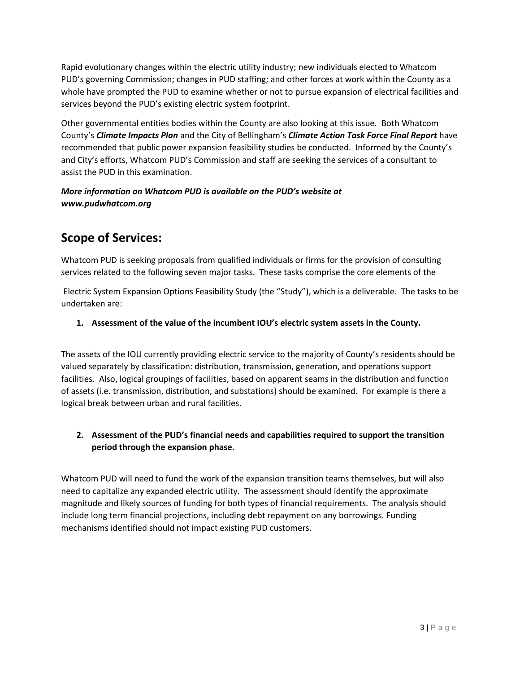Rapid evolutionary changes within the electric utility industry; new individuals elected to Whatcom PUD's governing Commission; changes in PUD staffing; and other forces at work within the County as a whole have prompted the PUD to examine whether or not to pursue expansion of electrical facilities and services beyond the PUD's existing electric system footprint.

Other governmental entities bodies within the County are also looking at this issue. Bot[h Whatcom](https://www.whatcomcounty.us/DocumentCenter/View/62556/CAP-Final-20211212)  County's *[Climate Impacts Plan](https://www.whatcomcounty.us/DocumentCenter/View/62556/CAP-Final-20211212)* and the City of Bellingham's *[Climate Action Task Force Final Report](https://cob.org/wp-content/uploads/Climate-Task-Force-FINAL-Report-12_2_19.pdf)* have recommended that public power expansion feasibility studies be conducted. Informed by the County's and City's efforts, Whatcom PUD's Commission and staff are seeking the services of a consultant to assist the PUD in this examination.

*More information on Whatcom PUD is available on the PUD's website at www.pudwhatcom.org*

# **Scope of Services:**

Whatcom PUD is seeking proposals from qualified individuals or firms for the provision of consulting services related to the following seven major tasks. These tasks comprise the core elements of the

Electric System Expansion Options Feasibility Study (the "Study"), which is a deliverable. The tasks to be undertaken are:

#### **1. Assessment of the value of the incumbent IOU's electric system assets in the County.**

The assets of the IOU currently providing electric service to the majority of County's residents should be valued separately by classification: distribution, transmission, generation, and operations support facilities. Also, logical groupings of facilities, based on apparent seams in the distribution and function of assets (i.e. transmission, distribution, and substations) should be examined. For example is there a logical break between urban and rural facilities.

#### **2. Assessment of the PUD's financial needs and capabilities required to support the transition period through the expansion phase.**

Whatcom PUD will need to fund the work of the expansion transition teams themselves, but will also need to capitalize any expanded electric utility. The assessment should identify the approximate magnitude and likely sources of funding for both types of financial requirements. The analysis should include long term financial projections, including debt repayment on any borrowings. Funding mechanisms identified should not impact existing PUD customers.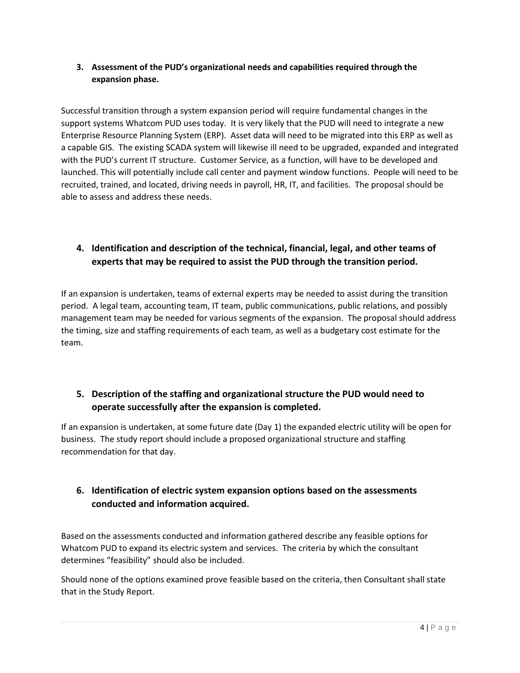#### **3. Assessment of the PUD's organizational needs and capabilities required through the expansion phase.**

Successful transition through a system expansion period will require fundamental changes in the support systems Whatcom PUD uses today. It is very likely that the PUD will need to integrate a new Enterprise Resource Planning System (ERP). Asset data will need to be migrated into this ERP as well as a capable GIS. The existing SCADA system will likewise ill need to be upgraded, expanded and integrated with the PUD's current IT structure. Customer Service, as a function, will have to be developed and launched. This will potentially include call center and payment window functions. People will need to be recruited, trained, and located, driving needs in payroll, HR, IT, and facilities. The proposal should be able to assess and address these needs.

### **4. Identification and description of the technical, financial, legal, and other teams of experts that may be required to assist the PUD through the transition period.**

If an expansion is undertaken, teams of external experts may be needed to assist during the transition period. A legal team, accounting team, IT team, public communications, public relations, and possibly management team may be needed for various segments of the expansion. The proposal should address the timing, size and staffing requirements of each team, as well as a budgetary cost estimate for the team.

### **5. Description of the staffing and organizational structure the PUD would need to operate successfully after the expansion is completed.**

If an expansion is undertaken, at some future date (Day 1) the expanded electric utility will be open for business. The study report should include a proposed organizational structure and staffing recommendation for that day.

### **6. Identification of electric system expansion options based on the assessments conducted and information acquired.**

Based on the assessments conducted and information gathered describe any feasible options for Whatcom PUD to expand its electric system and services. The criteria by which the consultant determines "feasibility" should also be included.

Should none of the options examined prove feasible based on the criteria, then Consultant shall state that in the Study Report.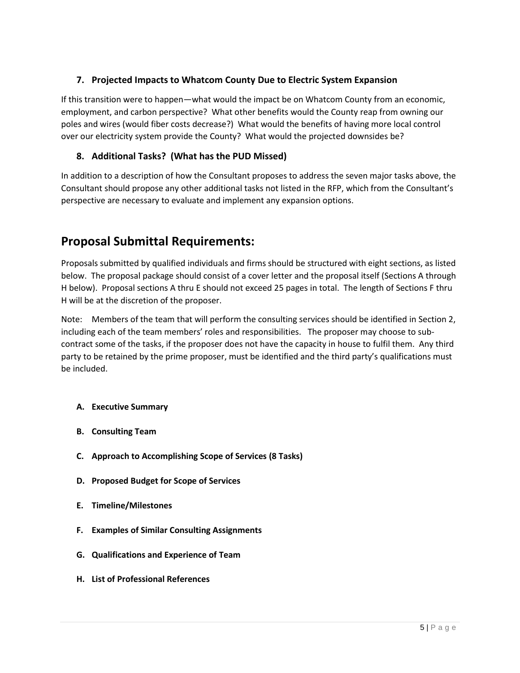#### **7. Projected Impacts to Whatcom County Due to Electric System Expansion**

If this transition were to happen—what would the impact be on Whatcom County from an economic, employment, and carbon perspective? What other benefits would the County reap from owning our poles and wires (would fiber costs decrease?) What would the benefits of having more local control over our electricity system provide the County? What would the projected downsides be?

#### **8. Additional Tasks? (What has the PUD Missed)**

In addition to a description of how the Consultant proposes to address the seven major tasks above, the Consultant should propose any other additional tasks not listed in the RFP, which from the Consultant's perspective are necessary to evaluate and implement any expansion options.

## **Proposal Submittal Requirements:**

Proposals submitted by qualified individuals and firms should be structured with eight sections, as listed below. The proposal package should consist of a cover letter and the proposal itself (Sections A through H below). Proposal sections A thru E should not exceed 25 pages in total. The length of Sections F thru H will be at the discretion of the proposer.

Note: Members of the team that will perform the consulting services should be identified in Section 2, including each of the team members' roles and responsibilities. The proposer may choose to subcontract some of the tasks, if the proposer does not have the capacity in house to fulfil them. Any third party to be retained by the prime proposer, must be identified and the third party's qualifications must be included.

- **A. Executive Summary**
- **B. Consulting Team**
- **C. Approach to Accomplishing Scope of Services (8 Tasks)**
- **D. Proposed Budget for Scope of Services**
- **E. Timeline/Milestones**
- **F. Examples of Similar Consulting Assignments**
- **G. Qualifications and Experience of Team**
- **H. List of Professional References**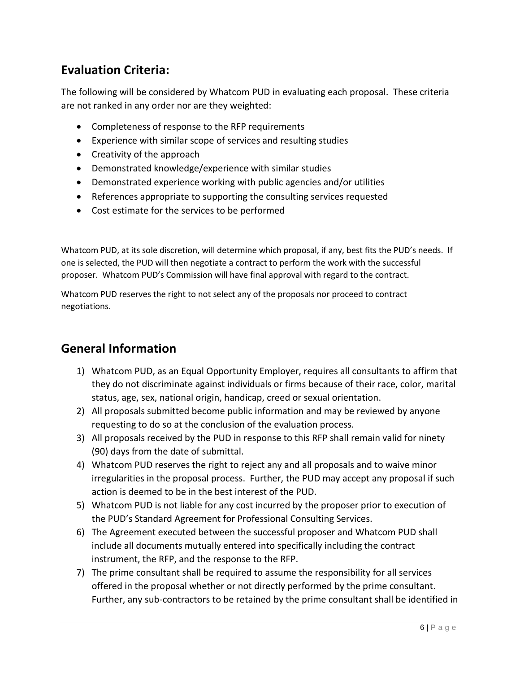## **Evaluation Criteria:**

The following will be considered by Whatcom PUD in evaluating each proposal. These criteria are not ranked in any order nor are they weighted:

- Completeness of response to the RFP requirements
- Experience with similar scope of services and resulting studies
- Creativity of the approach
- Demonstrated knowledge/experience with similar studies
- Demonstrated experience working with public agencies and/or utilities
- References appropriate to supporting the consulting services requested
- Cost estimate for the services to be performed

Whatcom PUD, at its sole discretion, will determine which proposal, if any, best fits the PUD's needs. If one is selected, the PUD will then negotiate a contract to perform the work with the successful proposer. Whatcom PUD's Commission will have final approval with regard to the contract.

Whatcom PUD reserves the right to not select any of the proposals nor proceed to contract negotiations.

## **General Information**

- 1) Whatcom PUD, as an Equal Opportunity Employer, requires all consultants to affirm that they do not discriminate against individuals or firms because of their race, color, marital status, age, sex, national origin, handicap, creed or sexual orientation.
- 2) All proposals submitted become public information and may be reviewed by anyone requesting to do so at the conclusion of the evaluation process.
- 3) All proposals received by the PUD in response to this RFP shall remain valid for ninety (90) days from the date of submittal.
- 4) Whatcom PUD reserves the right to reject any and all proposals and to waive minor irregularities in the proposal process. Further, the PUD may accept any proposal if such action is deemed to be in the best interest of the PUD.
- 5) Whatcom PUD is not liable for any cost incurred by the proposer prior to execution of the PUD's Standard Agreement for Professional Consulting Services.
- 6) The Agreement executed between the successful proposer and Whatcom PUD shall include all documents mutually entered into specifically including the contract instrument, the RFP, and the response to the RFP.
- 7) The prime consultant shall be required to assume the responsibility for all services offered in the proposal whether or not directly performed by the prime consultant. Further, any sub-contractors to be retained by the prime consultant shall be identified in